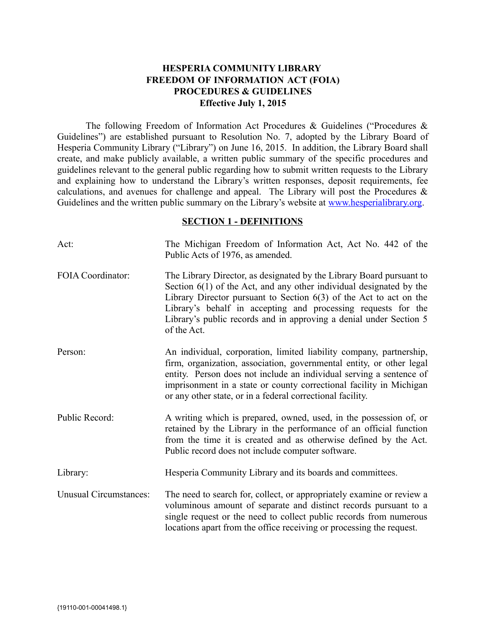# **HESPERIA COMMUNITY LIBRARY FREEDOM OF INFORMATION ACT (FOIA) PROCEDURES & GUIDELINES Effective July 1, 2015**

The following Freedom of Information Act Procedures & Guidelines ("Procedures & Guidelines") are established pursuant to Resolution No. 7, adopted by the Library Board of Hesperia Community Library ("Library") on June 16, 2015. In addition, the Library Board shall create, and make publicly available, a written public summary of the specific procedures and guidelines relevant to the general public regarding how to submit written requests to the Library and explaining how to understand the Library's written responses, deposit requirements, fee calculations, and avenues for challenge and appeal. The Library will post the Procedures & Guidelines and the written public summary on the Library's website at [www.hesperialibrary.org.](http://www.hesperialibrary.org/)

#### **SECTION 1 - DEFINITIONS**

| Act:                          | The Michigan Freedom of Information Act, Act No. 442 of the<br>Public Acts of 1976, as amended.                                                                                                                                                                                                                                                                             |
|-------------------------------|-----------------------------------------------------------------------------------------------------------------------------------------------------------------------------------------------------------------------------------------------------------------------------------------------------------------------------------------------------------------------------|
| FOIA Coordinator:             | The Library Director, as designated by the Library Board pursuant to<br>Section $6(1)$ of the Act, and any other individual designated by the<br>Library Director pursuant to Section $6(3)$ of the Act to act on the<br>Library's behalf in accepting and processing requests for the<br>Library's public records and in approving a denial under Section 5<br>of the Act. |
| Person:                       | An individual, corporation, limited liability company, partnership,<br>firm, organization, association, governmental entity, or other legal<br>entity. Person does not include an individual serving a sentence of<br>imprisonment in a state or county correctional facility in Michigan<br>or any other state, or in a federal correctional facility.                     |
| Public Record:                | A writing which is prepared, owned, used, in the possession of, or<br>retained by the Library in the performance of an official function<br>from the time it is created and as otherwise defined by the Act.<br>Public record does not include computer software.                                                                                                           |
| Library:                      | Hesperia Community Library and its boards and committees.                                                                                                                                                                                                                                                                                                                   |
| <b>Unusual Circumstances:</b> | The need to search for, collect, or appropriately examine or review a<br>voluminous amount of separate and distinct records pursuant to a<br>single request or the need to collect public records from numerous<br>locations apart from the office receiving or processing the request.                                                                                     |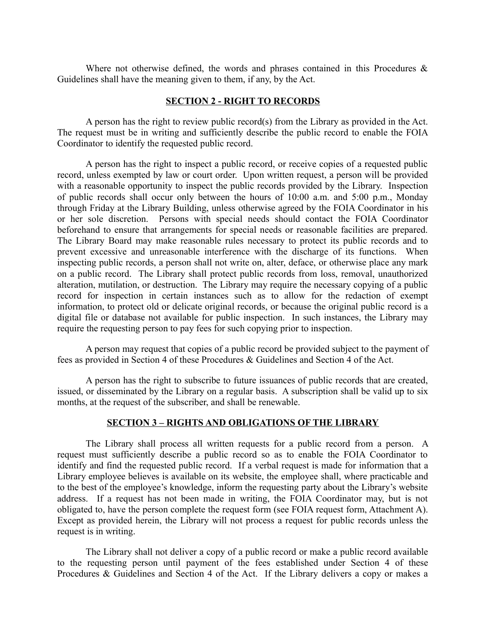Where not otherwise defined, the words and phrases contained in this Procedures  $\&$ Guidelines shall have the meaning given to them, if any, by the Act.

#### **SECTION 2 - RIGHT TO RECORDS**

A person has the right to review public record(s) from the Library as provided in the Act. The request must be in writing and sufficiently describe the public record to enable the FOIA Coordinator to identify the requested public record.

A person has the right to inspect a public record, or receive copies of a requested public record, unless exempted by law or court order. Upon written request, a person will be provided with a reasonable opportunity to inspect the public records provided by the Library. Inspection of public records shall occur only between the hours of 10:00 a.m. and 5:00 p.m., Monday through Friday at the Library Building, unless otherwise agreed by the FOIA Coordinator in his or her sole discretion. Persons with special needs should contact the FOIA Coordinator beforehand to ensure that arrangements for special needs or reasonable facilities are prepared. The Library Board may make reasonable rules necessary to protect its public records and to prevent excessive and unreasonable interference with the discharge of its functions. When inspecting public records, a person shall not write on, alter, deface, or otherwise place any mark on a public record. The Library shall protect public records from loss, removal, unauthorized alteration, mutilation, or destruction. The Library may require the necessary copying of a public record for inspection in certain instances such as to allow for the redaction of exempt information, to protect old or delicate original records, or because the original public record is a digital file or database not available for public inspection. In such instances, the Library may require the requesting person to pay fees for such copying prior to inspection.

A person may request that copies of a public record be provided subject to the payment of fees as provided in Section 4 of these Procedures & Guidelines and Section 4 of the Act.

A person has the right to subscribe to future issuances of public records that are created, issued, or disseminated by the Library on a regular basis. A subscription shall be valid up to six months, at the request of the subscriber, and shall be renewable.

#### **SECTION 3 – RIGHTS AND OBLIGATIONS OF THE LIBRARY**

The Library shall process all written requests for a public record from a person. A request must sufficiently describe a public record so as to enable the FOIA Coordinator to identify and find the requested public record. If a verbal request is made for information that a Library employee believes is available on its website, the employee shall, where practicable and to the best of the employee's knowledge, inform the requesting party about the Library's website address. If a request has not been made in writing, the FOIA Coordinator may, but is not obligated to, have the person complete the request form (see FOIA request form, Attachment A). Except as provided herein, the Library will not process a request for public records unless the request is in writing.

The Library shall not deliver a copy of a public record or make a public record available to the requesting person until payment of the fees established under Section 4 of these Procedures & Guidelines and Section 4 of the Act. If the Library delivers a copy or makes a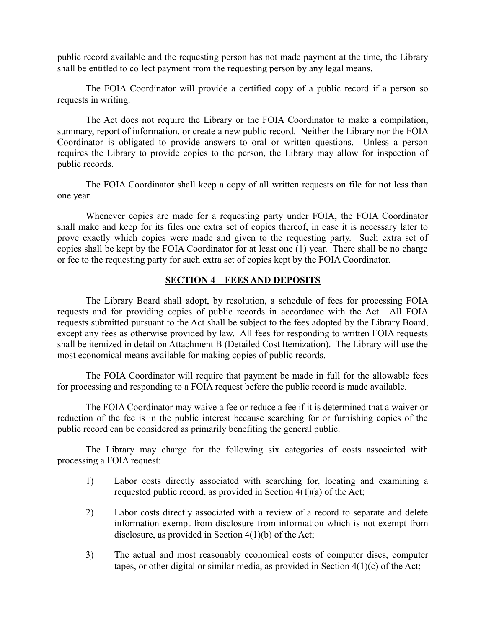public record available and the requesting person has not made payment at the time, the Library shall be entitled to collect payment from the requesting person by any legal means.

The FOIA Coordinator will provide a certified copy of a public record if a person so requests in writing.

The Act does not require the Library or the FOIA Coordinator to make a compilation, summary, report of information, or create a new public record. Neither the Library nor the FOIA Coordinator is obligated to provide answers to oral or written questions. Unless a person requires the Library to provide copies to the person, the Library may allow for inspection of public records.

The FOIA Coordinator shall keep a copy of all written requests on file for not less than one year.

Whenever copies are made for a requesting party under FOIA, the FOIA Coordinator shall make and keep for its files one extra set of copies thereof, in case it is necessary later to prove exactly which copies were made and given to the requesting party. Such extra set of copies shall be kept by the FOIA Coordinator for at least one (1) year. There shall be no charge or fee to the requesting party for such extra set of copies kept by the FOIA Coordinator.

### **SECTION 4 – FEES AND DEPOSITS**

The Library Board shall adopt, by resolution, a schedule of fees for processing FOIA requests and for providing copies of public records in accordance with the Act. All FOIA requests submitted pursuant to the Act shall be subject to the fees adopted by the Library Board, except any fees as otherwise provided by law. All fees for responding to written FOIA requests shall be itemized in detail on Attachment B (Detailed Cost Itemization). The Library will use the most economical means available for making copies of public records.

The FOIA Coordinator will require that payment be made in full for the allowable fees for processing and responding to a FOIA request before the public record is made available.

The FOIA Coordinator may waive a fee or reduce a fee if it is determined that a waiver or reduction of the fee is in the public interest because searching for or furnishing copies of the public record can be considered as primarily benefiting the general public.

The Library may charge for the following six categories of costs associated with processing a FOIA request:

- 1) Labor costs directly associated with searching for, locating and examining a requested public record, as provided in Section 4(1)(a) of the Act;
- 2) Labor costs directly associated with a review of a record to separate and delete information exempt from disclosure from information which is not exempt from disclosure, as provided in Section 4(1)(b) of the Act;
- 3) The actual and most reasonably economical costs of computer discs, computer tapes, or other digital or similar media, as provided in Section  $4(1)(c)$  of the Act;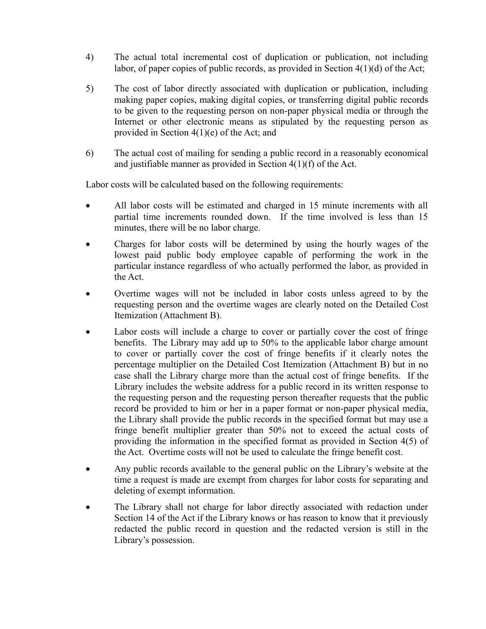- 4) The actual total incremental cost of duplication or publication, not including labor, of paper copies of public records, as provided in Section 4(1)(d) of the Act;
- 5) The cost of labor directly associated with duplication or publication, including making paper copies, making digital copies, or transferring digital public records to be given to the requesting person on non-paper physical media or through the Internet or other electronic means as stipulated by the requesting person as provided in Section 4(1)(e) of the Act; and
- 6) The actual cost of mailing for sending a public record in a reasonably economical and justifiable manner as provided in Section 4(1)(f) of the Act.

Labor costs will be calculated based on the following requirements:

- All labor costs will be estimated and charged in 15 minute increments with all partial time increments rounded down. If the time involved is less than 15 minutes, there will be no labor charge.
- Charges for labor costs will be determined by using the hourly wages of the lowest paid public body employee capable of performing the work in the particular instance regardless of who actually performed the labor, as provided in the Act.
- Overtime wages will not be included in labor costs unless agreed to by the requesting person and the overtime wages are clearly noted on the Detailed Cost Itemization (Attachment B).
- Labor costs will include a charge to cover or partially cover the cost of fringe benefits. The Library may add up to 50% to the applicable labor charge amount to cover or partially cover the cost of fringe benefits if it clearly notes the percentage multiplier on the Detailed Cost Itemization (Attachment B) but in no case shall the Library charge more than the actual cost of fringe benefits. If the Library includes the website address for a public record in its written response to the requesting person and the requesting person thereafter requests that the public record be provided to him or her in a paper format or non-paper physical media, the Library shall provide the public records in the specified format but may use a fringe benefit multiplier greater than 50% not to exceed the actual costs of providing the information in the specified format as provided in Section 4(5) of the Act. Overtime costs will not be used to calculate the fringe benefit cost.
- Any public records available to the general public on the Library's website at the time a request is made are exempt from charges for labor costs for separating and deleting of exempt information.
- The Library shall not charge for labor directly associated with redaction under Section 14 of the Act if the Library knows or has reason to know that it previously redacted the public record in question and the redacted version is still in the Library's possession.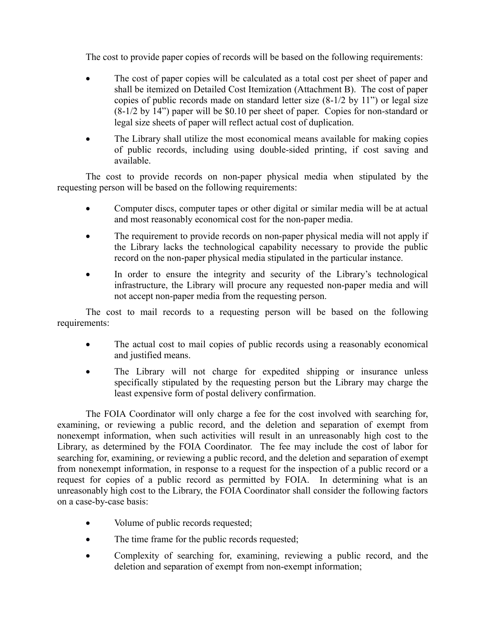The cost to provide paper copies of records will be based on the following requirements:

- The cost of paper copies will be calculated as a total cost per sheet of paper and shall be itemized on Detailed Cost Itemization (Attachment B). The cost of paper copies of public records made on standard letter size (8-1/2 by 11") or legal size (8-1/2 by 14") paper will be \$0.10 per sheet of paper. Copies for non-standard or legal size sheets of paper will reflect actual cost of duplication.
- The Library shall utilize the most economical means available for making copies of public records, including using double-sided printing, if cost saving and available.

The cost to provide records on non-paper physical media when stipulated by the requesting person will be based on the following requirements:

- Computer discs, computer tapes or other digital or similar media will be at actual and most reasonably economical cost for the non-paper media.
- The requirement to provide records on non-paper physical media will not apply if the Library lacks the technological capability necessary to provide the public record on the non-paper physical media stipulated in the particular instance.
- In order to ensure the integrity and security of the Library's technological infrastructure, the Library will procure any requested non-paper media and will not accept non-paper media from the requesting person.

The cost to mail records to a requesting person will be based on the following requirements:

- The actual cost to mail copies of public records using a reasonably economical and justified means.
- The Library will not charge for expedited shipping or insurance unless specifically stipulated by the requesting person but the Library may charge the least expensive form of postal delivery confirmation.

The FOIA Coordinator will only charge a fee for the cost involved with searching for, examining, or reviewing a public record, and the deletion and separation of exempt from nonexempt information, when such activities will result in an unreasonably high cost to the Library, as determined by the FOIA Coordinator. The fee may include the cost of labor for searching for, examining, or reviewing a public record, and the deletion and separation of exempt from nonexempt information, in response to a request for the inspection of a public record or a request for copies of a public record as permitted by FOIA. In determining what is an unreasonably high cost to the Library, the FOIA Coordinator shall consider the following factors on a case-by-case basis:

- Volume of public records requested;
- The time frame for the public records requested;
- Complexity of searching for, examining, reviewing a public record, and the deletion and separation of exempt from non-exempt information;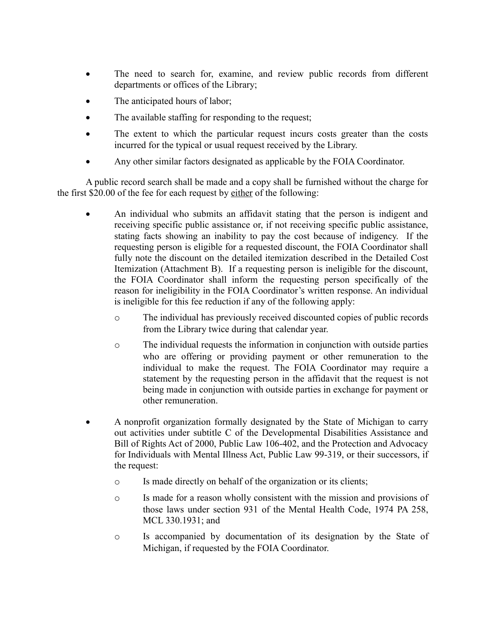- The need to search for, examine, and review public records from different departments or offices of the Library;
- The anticipated hours of labor;
- The available staffing for responding to the request;
- The extent to which the particular request incurs costs greater than the costs incurred for the typical or usual request received by the Library.
- Any other similar factors designated as applicable by the FOIA Coordinator.

A public record search shall be made and a copy shall be furnished without the charge for the first \$20.00 of the fee for each request by either of the following:

- An individual who submits an affidavit stating that the person is indigent and receiving specific public assistance or, if not receiving specific public assistance, stating facts showing an inability to pay the cost because of indigency. If the requesting person is eligible for a requested discount, the FOIA Coordinator shall fully note the discount on the detailed itemization described in the Detailed Cost Itemization (Attachment B). If a requesting person is ineligible for the discount, the FOIA Coordinator shall inform the requesting person specifically of the reason for ineligibility in the FOIA Coordinator's written response. An individual is ineligible for this fee reduction if any of the following apply:
	- o The individual has previously received discounted copies of public records from the Library twice during that calendar year.
	- o The individual requests the information in conjunction with outside parties who are offering or providing payment or other remuneration to the individual to make the request. The FOIA Coordinator may require a statement by the requesting person in the affidavit that the request is not being made in conjunction with outside parties in exchange for payment or other remuneration.
- A nonprofit organization formally designated by the State of Michigan to carry out activities under subtitle C of the Developmental Disabilities Assistance and Bill of Rights Act of 2000, Public Law 106-402, and the Protection and Advocacy for Individuals with Mental Illness Act, Public Law 99-319, or their successors, if the request:
	- o Is made directly on behalf of the organization or its clients;
	- o Is made for a reason wholly consistent with the mission and provisions of those laws under section 931 of the Mental Health Code, 1974 PA 258, MCL 330.1931; and
	- o Is accompanied by documentation of its designation by the State of Michigan, if requested by the FOIA Coordinator.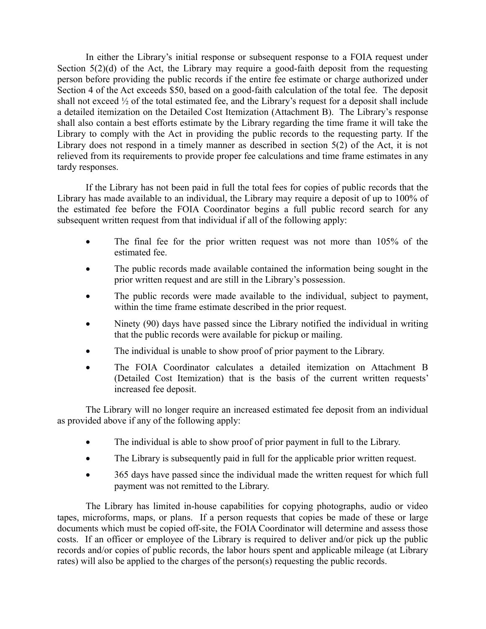In either the Library's initial response or subsequent response to a FOIA request under Section 5(2)(d) of the Act, the Library may require a good-faith deposit from the requesting person before providing the public records if the entire fee estimate or charge authorized under Section 4 of the Act exceeds \$50, based on a good-faith calculation of the total fee. The deposit shall not exceed ½ of the total estimated fee, and the Library's request for a deposit shall include a detailed itemization on the Detailed Cost Itemization (Attachment B). The Library's response shall also contain a best efforts estimate by the Library regarding the time frame it will take the Library to comply with the Act in providing the public records to the requesting party. If the Library does not respond in a timely manner as described in section 5(2) of the Act, it is not relieved from its requirements to provide proper fee calculations and time frame estimates in any tardy responses.

If the Library has not been paid in full the total fees for copies of public records that the Library has made available to an individual, the Library may require a deposit of up to 100% of the estimated fee before the FOIA Coordinator begins a full public record search for any subsequent written request from that individual if all of the following apply:

- The final fee for the prior written request was not more than 105% of the estimated fee.
- The public records made available contained the information being sought in the prior written request and are still in the Library's possession.
- The public records were made available to the individual, subject to payment, within the time frame estimate described in the prior request.
- Ninety (90) days have passed since the Library notified the individual in writing that the public records were available for pickup or mailing.
- The individual is unable to show proof of prior payment to the Library.
- The FOIA Coordinator calculates a detailed itemization on Attachment B (Detailed Cost Itemization) that is the basis of the current written requests' increased fee deposit.

The Library will no longer require an increased estimated fee deposit from an individual as provided above if any of the following apply:

- The individual is able to show proof of prior payment in full to the Library.
- The Library is subsequently paid in full for the applicable prior written request.
- 365 days have passed since the individual made the written request for which full payment was not remitted to the Library.

The Library has limited in-house capabilities for copying photographs, audio or video tapes, microforms, maps, or plans. If a person requests that copies be made of these or large documents which must be copied off-site, the FOIA Coordinator will determine and assess those costs. If an officer or employee of the Library is required to deliver and/or pick up the public records and/or copies of public records, the labor hours spent and applicable mileage (at Library rates) will also be applied to the charges of the person(s) requesting the public records.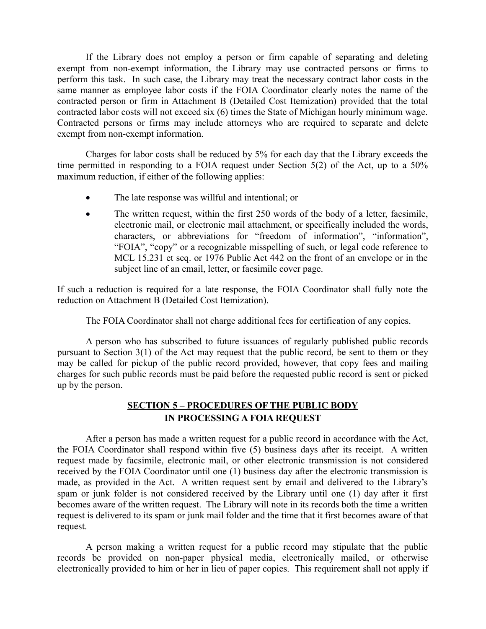If the Library does not employ a person or firm capable of separating and deleting exempt from non-exempt information, the Library may use contracted persons or firms to perform this task. In such case, the Library may treat the necessary contract labor costs in the same manner as employee labor costs if the FOIA Coordinator clearly notes the name of the contracted person or firm in Attachment B (Detailed Cost Itemization) provided that the total contracted labor costs will not exceed six (6) times the State of Michigan hourly minimum wage. Contracted persons or firms may include attorneys who are required to separate and delete exempt from non-exempt information.

Charges for labor costs shall be reduced by 5% for each day that the Library exceeds the time permitted in responding to a FOIA request under Section 5(2) of the Act, up to a 50% maximum reduction, if either of the following applies:

- The late response was willful and intentional; or
- The written request, within the first 250 words of the body of a letter, facsimile, electronic mail, or electronic mail attachment, or specifically included the words, characters, or abbreviations for "freedom of information", "information", "FOIA", "copy" or a recognizable misspelling of such, or legal code reference to MCL 15.231 et seq. or 1976 Public Act 442 on the front of an envelope or in the subject line of an email, letter, or facsimile cover page.

If such a reduction is required for a late response, the FOIA Coordinator shall fully note the reduction on Attachment B (Detailed Cost Itemization).

The FOIA Coordinator shall not charge additional fees for certification of any copies.

A person who has subscribed to future issuances of regularly published public records pursuant to Section 3(1) of the Act may request that the public record, be sent to them or they may be called for pickup of the public record provided, however, that copy fees and mailing charges for such public records must be paid before the requested public record is sent or picked up by the person.

# **SECTION 5 – PROCEDURES OF THE PUBLIC BODY IN PROCESSING A FOIA REQUEST**

After a person has made a written request for a public record in accordance with the Act, the FOIA Coordinator shall respond within five (5) business days after its receipt. A written request made by facsimile, electronic mail, or other electronic transmission is not considered received by the FOIA Coordinator until one (1) business day after the electronic transmission is made, as provided in the Act. A written request sent by email and delivered to the Library's spam or junk folder is not considered received by the Library until one (1) day after it first becomes aware of the written request. The Library will note in its records both the time a written request is delivered to its spam or junk mail folder and the time that it first becomes aware of that request.

A person making a written request for a public record may stipulate that the public records be provided on non-paper physical media, electronically mailed, or otherwise electronically provided to him or her in lieu of paper copies. This requirement shall not apply if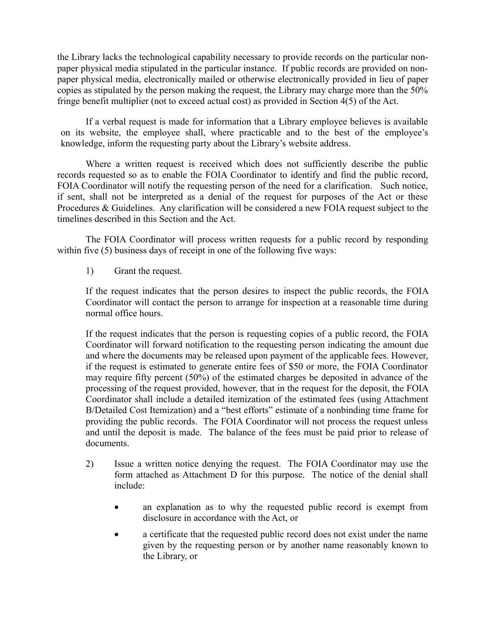the Library lacks the technological capability necessary to provide records on the particular nonpaper physical media stipulated in the particular instance. If public records are provided on nonpaper physical media, electronically mailed or otherwise electronically provided in lieu of paper copies as stipulated by the person making the request, the Library may charge more than the 50% fringe benefit multiplier (not to exceed actual cost) as provided in Section 4(5) of the Act.

If a verbal request is made for information that a Library employee believes is available on its website, the employee shall, where practicable and to the best of the employee's knowledge, inform the requesting party about the Library's website address.

Where a written request is received which does not sufficiently describe the public records requested so as to enable the FOIA Coordinator to identify and find the public record, FOIA Coordinator will notify the requesting person of the need for a clarification. Such notice, if sent, shall not be interpreted as a denial of the request for purposes of the Act or these Procedures & Guidelines. Any clarification will be considered a new FOIA request subject to the timelines described in this Section and the Act.

The FOIA Coordinator will process written requests for a public record by responding within five (5) business days of receipt in one of the following five ways:

1) Grant the request.

If the request indicates that the person desires to inspect the public records, the FOIA Coordinator will contact the person to arrange for inspection at a reasonable time during normal office hours.

If the request indicates that the person is requesting copies of a public record, the FOIA Coordinator will forward notification to the requesting person indicating the amount due and where the documents may be released upon payment of the applicable fees. However, if the request is estimated to generate entire fees of \$50 or more, the FOIA Coordinator may require fifty percent (50%) of the estimated charges be deposited in advance of the processing of the request provided, however, that in the request for the deposit, the FOIA Coordinator shall include a detailed itemization of the estimated fees (using Attachment B/Detailed Cost Itemization) and a "best efforts" estimate of a nonbinding time frame for providing the public records. The FOIA Coordinator will not process the request unless and until the deposit is made. The balance of the fees must be paid prior to release of documents.

- 2) Issue a written notice denying the request. The FOIA Coordinator may use the form attached as Attachment D for this purpose. The notice of the denial shall include:
	- an explanation as to why the requested public record is exempt from disclosure in accordance with the Act, or
	- a certificate that the requested public record does not exist under the name given by the requesting person or by another name reasonably known to the Library, or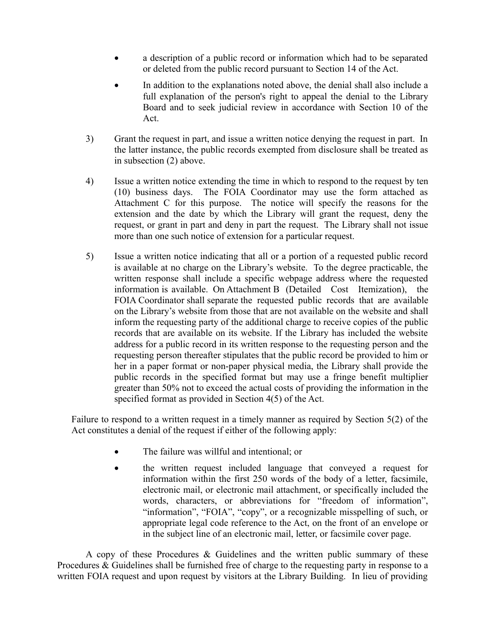- a description of a public record or information which had to be separated or deleted from the public record pursuant to Section 14 of the Act.
- In addition to the explanations noted above, the denial shall also include a full explanation of the person's right to appeal the denial to the Library Board and to seek judicial review in accordance with Section 10 of the Act.
- 3) Grant the request in part, and issue a written notice denying the request in part. In the latter instance, the public records exempted from disclosure shall be treated as in subsection (2) above.
- 4) Issue a written notice extending the time in which to respond to the request by ten (10) business days. The FOIA Coordinator may use the form attached as Attachment C for this purpose. The notice will specify the reasons for the extension and the date by which the Library will grant the request, deny the request, or grant in part and deny in part the request. The Library shall not issue more than one such notice of extension for a particular request.
- 5) Issue a written notice indicating that all or a portion of a requested public record is available at no charge on the Library's website. To the degree practicable, the written response shall include a specific webpage address where the requested information is available. On Attachment B (Detailed Cost Itemization), the FOIA Coordinator shall separate the requested public records that are available on the Library's website from those that are not available on the website and shall inform the requesting party of the additional charge to receive copies of the public records that are available on its website. If the Library has included the website address for a public record in its written response to the requesting person and the requesting person thereafter stipulates that the public record be provided to him or her in a paper format or non-paper physical media, the Library shall provide the public records in the specified format but may use a fringe benefit multiplier greater than 50% not to exceed the actual costs of providing the information in the specified format as provided in Section 4(5) of the Act.

Failure to respond to a written request in a timely manner as required by Section 5(2) of the Act constitutes a denial of the request if either of the following apply:

- The failure was willful and intentional; or
- the written request included language that conveyed a request for information within the first 250 words of the body of a letter, facsimile, electronic mail, or electronic mail attachment, or specifically included the words, characters, or abbreviations for "freedom of information", "information", "FOIA", "copy", or a recognizable misspelling of such, or appropriate legal code reference to the Act, on the front of an envelope or in the subject line of an electronic mail, letter, or facsimile cover page.

A copy of these Procedures & Guidelines and the written public summary of these Procedures & Guidelines shall be furnished free of charge to the requesting party in response to a written FOIA request and upon request by visitors at the Library Building. In lieu of providing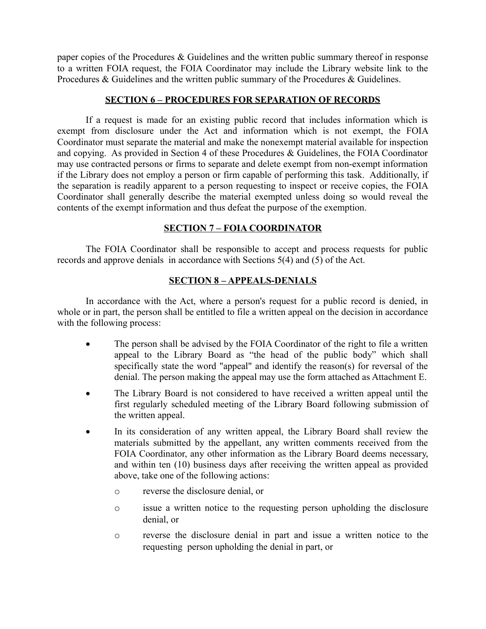paper copies of the Procedures  $&$  Guidelines and the written public summary thereof in response to a written FOIA request, the FOIA Coordinator may include the Library website link to the Procedures  $\&$  Guidelines and the written public summary of the Procedures  $\&$  Guidelines.

# **SECTION 6 – PROCEDURES FOR SEPARATION OF RECORDS**

If a request is made for an existing public record that includes information which is exempt from disclosure under the Act and information which is not exempt, the FOIA Coordinator must separate the material and make the nonexempt material available for inspection and copying. As provided in Section 4 of these Procedures & Guidelines, the FOIA Coordinator may use contracted persons or firms to separate and delete exempt from non-exempt information if the Library does not employ a person or firm capable of performing this task. Additionally, if the separation is readily apparent to a person requesting to inspect or receive copies, the FOIA Coordinator shall generally describe the material exempted unless doing so would reveal the contents of the exempt information and thus defeat the purpose of the exemption.

## **SECTION 7 – FOIA COORDINATOR**

The FOIA Coordinator shall be responsible to accept and process requests for public records and approve denials in accordance with Sections 5(4) and (5) of the Act.

## **SECTION 8 – APPEALS-DENIALS**

In accordance with the Act, where a person's request for a public record is denied, in whole or in part, the person shall be entitled to file a written appeal on the decision in accordance with the following process:

- The person shall be advised by the FOIA Coordinator of the right to file a written appeal to the Library Board as "the head of the public body" which shall specifically state the word "appeal" and identify the reason(s) for reversal of the denial. The person making the appeal may use the form attached as Attachment E.
- The Library Board is not considered to have received a written appeal until the first regularly scheduled meeting of the Library Board following submission of the written appeal.
- In its consideration of any written appeal, the Library Board shall review the materials submitted by the appellant, any written comments received from the FOIA Coordinator, any other information as the Library Board deems necessary, and within ten (10) business days after receiving the written appeal as provided above, take one of the following actions:
	- o reverse the disclosure denial, or
	- o issue a written notice to the requesting person upholding the disclosure denial, or
	- o reverse the disclosure denial in part and issue a written notice to the requesting person upholding the denial in part, or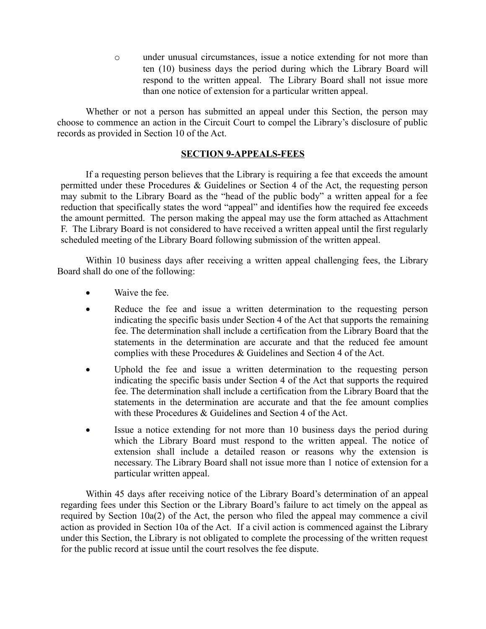o under unusual circumstances, issue a notice extending for not more than ten (10) business days the period during which the Library Board will respond to the written appeal. The Library Board shall not issue more than one notice of extension for a particular written appeal.

Whether or not a person has submitted an appeal under this Section, the person may choose to commence an action in the Circuit Court to compel the Library's disclosure of public records as provided in Section 10 of the Act.

### **SECTION 9-APPEALS-FEES**

If a requesting person believes that the Library is requiring a fee that exceeds the amount permitted under these Procedures & Guidelines or Section 4 of the Act, the requesting person may submit to the Library Board as the "head of the public body" a written appeal for a fee reduction that specifically states the word "appeal" and identifies how the required fee exceeds the amount permitted. The person making the appeal may use the form attached as Attachment F. The Library Board is not considered to have received a written appeal until the first regularly scheduled meeting of the Library Board following submission of the written appeal.

Within 10 business days after receiving a written appeal challenging fees, the Library Board shall do one of the following:

- Waive the fee.
- Reduce the fee and issue a written determination to the requesting person indicating the specific basis under Section 4 of the Act that supports the remaining fee. The determination shall include a certification from the Library Board that the statements in the determination are accurate and that the reduced fee amount complies with these Procedures & Guidelines and Section 4 of the Act.
- Uphold the fee and issue a written determination to the requesting person indicating the specific basis under Section 4 of the Act that supports the required fee. The determination shall include a certification from the Library Board that the statements in the determination are accurate and that the fee amount complies with these Procedures & Guidelines and Section 4 of the Act.
- Issue a notice extending for not more than 10 business days the period during which the Library Board must respond to the written appeal. The notice of extension shall include a detailed reason or reasons why the extension is necessary. The Library Board shall not issue more than 1 notice of extension for a particular written appeal.

Within 45 days after receiving notice of the Library Board's determination of an appeal regarding fees under this Section or the Library Board's failure to act timely on the appeal as required by Section 10a(2) of the Act, the person who filed the appeal may commence a civil action as provided in Section 10a of the Act. If a civil action is commenced against the Library under this Section, the Library is not obligated to complete the processing of the written request for the public record at issue until the court resolves the fee dispute.